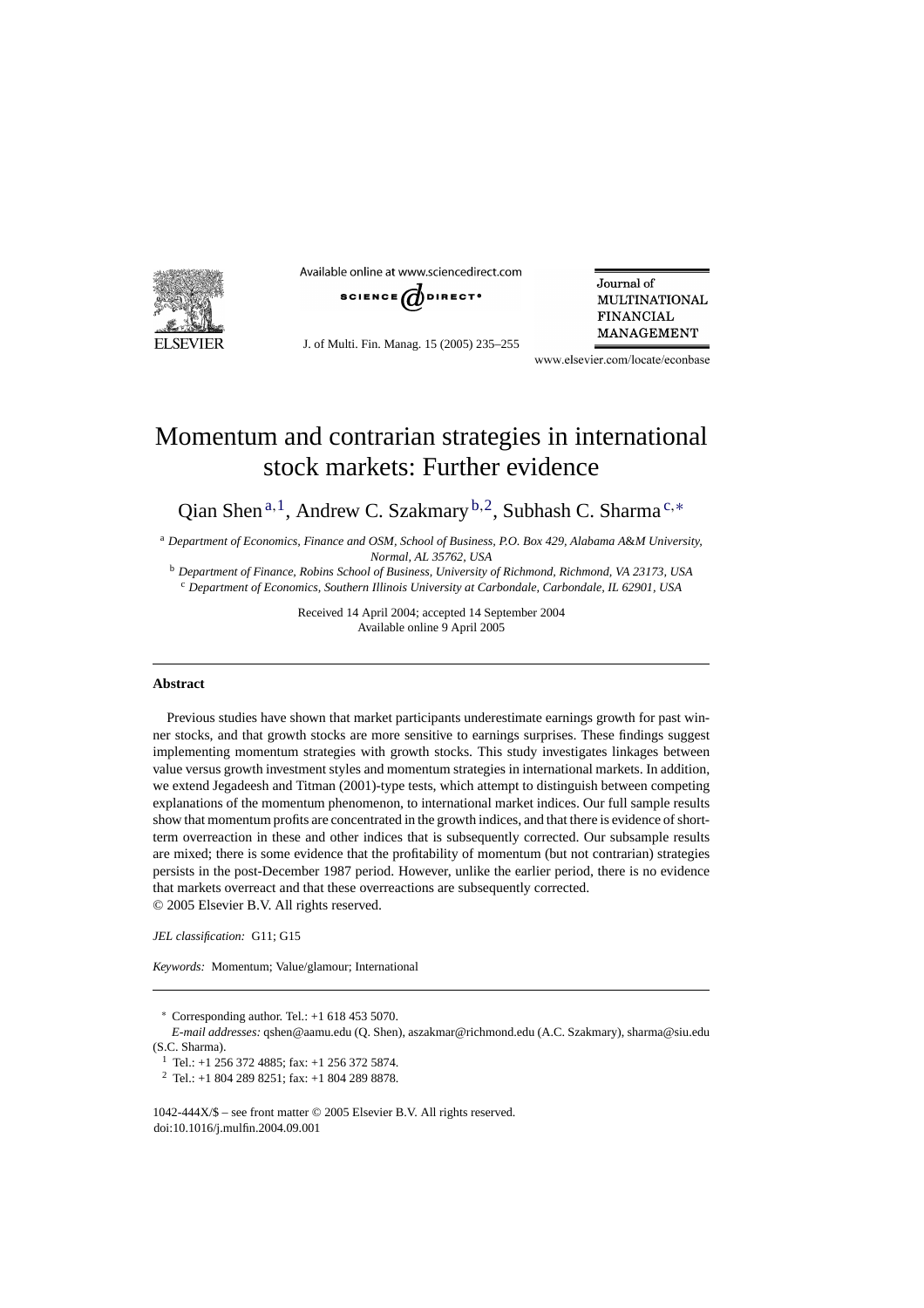

Available online at www.sciencedirect.com



J. of Multi. Fin. Manag. 15 (2005) 235–255

Journal of **MULTINATIONAL FINANCIAL MANAGEMENT** 

www.elsevier.com/locate/econbase

## Momentum and contrarian strategies in international stock markets: Further evidence

Qian Shen<sup>a, 1</sup>, Andrew C. Szakmary <sup>b, 2</sup>, Subhash C. Sharma<sup>c,\*</sup>

<sup>a</sup> *Department of Economics, Finance and OSM, School of Business, P.O. Box 429, Alabama A*&*M University, Normal, AL 35762, USA*

<sup>b</sup> *Department of Finance, Robins School of Business, University of Richmond, Richmond, VA 23173, USA* <sup>c</sup> *Department of Economics, Southern Illinois University at Carbondale, Carbondale, IL 62901, USA*

> Received 14 April 2004; accepted 14 September 2004 Available online 9 April 2005

## **Abstract**

Previous studies have shown that market participants underestimate earnings growth for past winner stocks, and that growth stocks are more sensitive to earnings surprises. These findings suggest implementing momentum strategies with growth stocks. This study investigates linkages between value versus growth investment styles and momentum strategies in international markets. In addition, we extend Jegadeesh and Titman (2001)-type tests, which attempt to distinguish between competing explanations of the momentum phenomenon, to international market indices. Our full sample results show that momentum profits are concentrated in the growth indices, and that there is evidence of shortterm overreaction in these and other indices that is subsequently corrected. Our subsample results are mixed; there is some evidence that the profitability of momentum (but not contrarian) strategies persists in the post-December 1987 period. However, unlike the earlier period, there is no evidence that markets overreact and that these overreactions are subsequently corrected. © 2005 Elsevier B.V. All rights reserved.

*JEL classification:* G11; G15

*Keywords:* Momentum; Value/glamour; International

∗ Corresponding author. Tel.: +1 618 453 5070.

*E-mail addresses:* qshen@aamu.edu (Q. Shen), aszakmar@richmond.edu (A.C. Szakmary), sharma@siu.edu (S.C. Sharma).

<sup>1</sup> Tel.: +1 256 372 4885; fax: +1 256 372 5874.

<sup>2</sup> Tel.: +1 804 289 8251; fax: +1 804 289 8878.

1042-444X/\$ – see front matter © 2005 Elsevier B.V. All rights reserved. doi:10.1016/j.mulfin.2004.09.001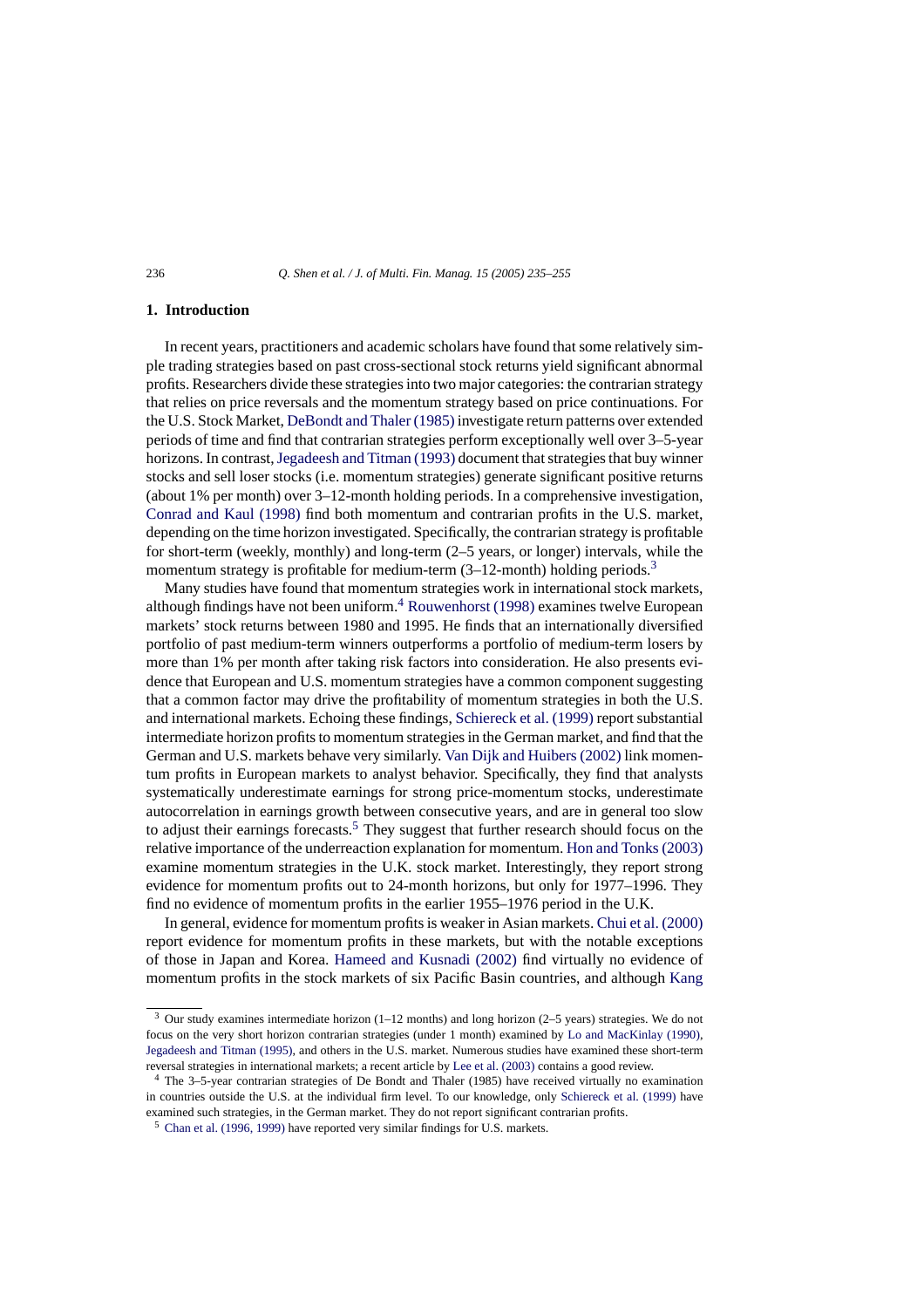## **1. Introduction**

In recent years, practitioners and academic scholars have found that some relatively simple trading strategies based on past cross-sectional stock returns yield significant abnormal profits. Researchers divide these strategies into two major categories: the contrarian strategy that relies on price reversals and the momentum strategy based on price continuations. For the U.S. Stock Market, [DeBondt and Thaler \(1985\)](#page--1-0) investigate return patterns over extended periods of time and find that contrarian strategies perform exceptionally well over 3–5-year horizons. In contrast, [Jegadeesh and Titman \(1993\)](#page--1-0) document that strategies that buy winner stocks and sell loser stocks (i.e. momentum strategies) generate significant positive returns (about 1% per month) over 3–12-month holding periods. In a comprehensive investigation, [Conrad and Kaul \(1998\)](#page--1-0) find both momentum and contrarian profits in the U.S. market, depending on the time horizon investigated. Specifically, the contrarian strategy is profitable for short-term (weekly, monthly) and long-term (2–5 years, or longer) intervals, while the momentum strategy is profitable for medium-term  $(3-12$ -month) holding periods.<sup>3</sup>

Many studies have found that momentum strategies work in international stock markets, although findings have not been uniform.<sup>4</sup> [Rouwenhorst \(1998\)](#page--1-0) examines twelve European markets' stock returns between 1980 and 1995. He finds that an internationally diversified portfolio of past medium-term winners outperforms a portfolio of medium-term losers by more than 1% per month after taking risk factors into consideration. He also presents evidence that European and U.S. momentum strategies have a common component suggesting that a common factor may drive the profitability of momentum strategies in both the U.S. and international markets. Echoing these findings, [Schiereck et al. \(1999\)](#page--1-0) report substantial intermediate horizon profits to momentum strategies in the German market, and find that the German and U.S. markets behave very similarly. [Van Dijk and Huibers \(2002\)](#page--1-0) link momentum profits in European markets to analyst behavior. Specifically, they find that analysts systematically underestimate earnings for strong price-momentum stocks, underestimate autocorrelation in earnings growth between consecutive years, and are in general too slow to adjust their earnings forecasts.<sup>5</sup> They suggest that further research should focus on the relative importance of the underreaction explanation for momentum. [Hon and Tonks \(2003\)](#page--1-0) examine momentum strategies in the U.K. stock market. Interestingly, they report strong evidence for momentum profits out to 24-month horizons, but only for 1977–1996. They find no evidence of momentum profits in the earlier 1955–1976 period in the U.K.

In general, evidence for momentum profits is weaker in Asian markets. [Chui et al. \(2000\)](#page--1-0) report evidence for momentum profits in these markets, but with the notable exceptions of those in Japan and Korea. [Hameed and Kusnadi \(2002\)](#page--1-0) find virtually no evidence of momentum profits in the stock markets of six Pacific Basin countries, and although [Kang](#page--1-0)

<sup>&</sup>lt;sup>3</sup> Our study examines intermediate horizon (1–12 months) and long horizon (2–5 years) strategies. We do not focus on the very short horizon contrarian strategies (under 1 month) examined by [Lo and MacKinlay \(1990\),](#page--1-0) [Jegadeesh and Titman \(1995\), a](#page--1-0)nd others in the U.S. market. Numerous studies have examined these short-term reversal strategies in international markets; a recent article by [Lee et al. \(2003\)](#page--1-0) contains a good review.

<sup>4</sup> The 3–5-year contrarian strategies of De Bondt and Thaler (1985) have received virtually no examination in countries outside the U.S. at the individual firm level. To our knowledge, only [Schiereck et al. \(1999\)](#page--1-0) have examined such strategies, in the German market. They do not report significant contrarian profits.

<sup>5</sup> [Chan et al. \(1996, 1999\)](#page--1-0) have reported very similar findings for U.S. markets.